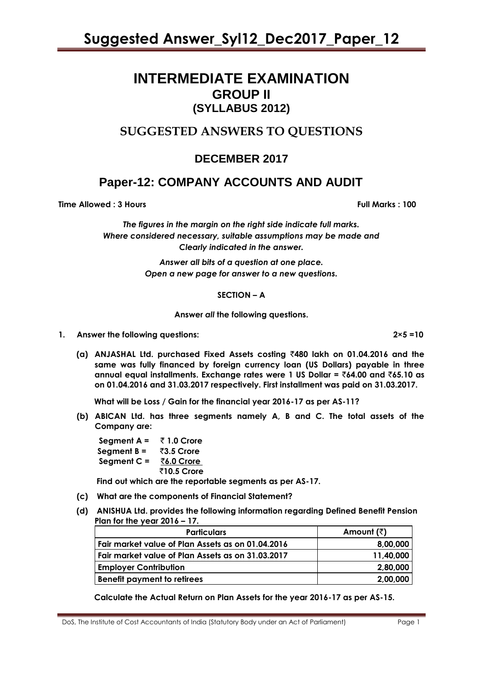## **INTERMEDIATE EXAMINATION GROUP II (SYLLABUS 2012)**

### **SUGGESTED ANSWERS TO QUESTIONS**

### **DECEMBER 2017**

## **Paper-12: COMPANY ACCOUNTS AND AUDIT**

**Time Allowed : 3 Hours Full Marks : 100** 

*The figures in the margin on the right side indicate full marks. Where considered necessary, suitable assumptions may be made and Clearly indicated in the answer.*

> *Answer all bits of a question at one place. Open a new page for answer to a new questions.*

#### **SECTION – A**

#### **Answer** *all* **the following questions.**

**1. Answer the following questions: 2×5 =10**

**(a) ANJASHAL Ltd. purchased Fixed Assets costing** `**480 lakh on 01.04.2016 and the same was fully financed by foreign currency loan (US Dollars) payable in three annual equal installments. Exchange rates were 1 US Dollar =** `**64.00 and** `**65.10 as on 01.04.2016 and 31.03.2017 respectively. First installment was paid on 31.03.2017.**

 **What will be Loss / Gain for the financial year 2016-17 as per AS-11?**

**(b) ABICAN Ltd. has three segments namely A, B and C. The total assets of the Company are:**

**Segment A =**  $\overline{z}$  **1.0 Crore Segment B =** `**3.5 Crore Segment C =** `**6.0 Crore** `**10.5 Crore**

 **Find out which are the reportable segments as per AS-17.**

- **(c) What are the components of Financial Statement?**
- **(d) ANISHUA Ltd. provides the following information regarding Defined Benefit Pension Plan for the year 2016 – 17.**

| <b>Particulars</b>                                | Amount (₹) |
|---------------------------------------------------|------------|
| Fair market value of Plan Assets as on 01.04.2016 | 8,00,000   |
| Fair market value of Plan Assets as on 31.03.2017 | 11,40,000  |
| <b>Employer Contribution</b>                      | 2,80,000   |
| <b>Benefit payment to retirees</b>                | 2,00,000   |

**Calculate the Actual Return on Plan Assets for the year 2016-17 as per AS-15.**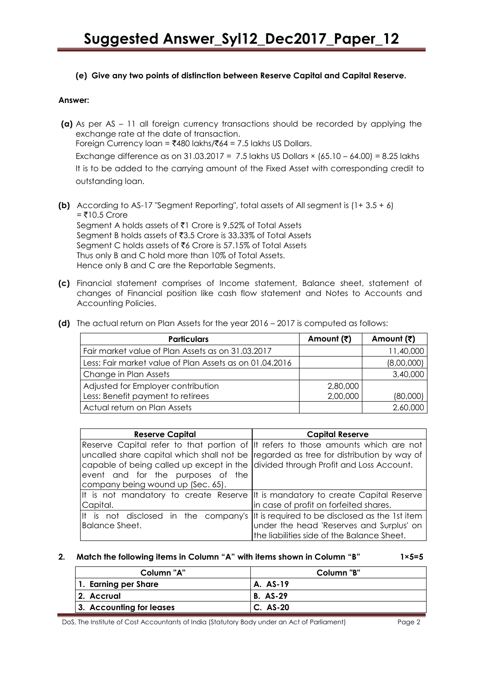**(e) Give any two points of distinction between Reserve Capital and Capital Reserve.**

#### **Answer:**

- **(a)** As per AS 11 all foreign currency transactions should be recorded by applying the exchange rate at the date of transaction. Foreign Currency loan =  $\overline{$}480$  lakhs/ $\overline{$}64$  = 7.5 lakhs US Dollars. Exchange difference as on 31.03.2017 = 7.5 lakhs US Dollars  $\times$  (65.10 – 64.00) = 8.25 lakhs It is to be added to the carrying amount of the Fixed Asset with corresponding credit to outstanding loan.
- **(b)** According to AS-17 "Segment Reporting", total assets of All segment is (1+ 3.5 + 6)  $=$  ₹10.5 Crore Segment A holds assets of ₹1 Crore is 9.52% of Total Assets Segment B holds assets of ₹3.5 Crore is 33.33% of Total Assets Segment C holds assets of ₹6 Crore is 57.15% of Total Assets Thus only B and C hold more than 10% of Total Assets. Hence only B and C are the Reportable Segments.
- **(c)** Financial statement comprises of Income statement, Balance sheet, statement of changes of Financial position like cash flow statement and Notes to Accounts and Accounting Policies.

| <b>Particulars</b>                                      | Amount (そ) | Amount (₹) |
|---------------------------------------------------------|------------|------------|
| Fair market value of Plan Assets as on 31.03.2017       |            | 11,40,000  |
| Less: Fair market value of Plan Assets as on 01.04.2016 |            | (8,00,000) |
| Change in Plan Assets                                   |            | 3,40,000   |
| Adjusted for Employer contribution                      | 2,80,000   |            |
| Less: Benefit payment to retirees                       | 2,00,000   | (80,000)   |
| Actual return on Plan Assets                            |            | 2,60,000   |

|  | (d) The actual return on Plan Assets for the year 2016 – 2017 is computed as follows: |  |  |  |  |  |  |
|--|---------------------------------------------------------------------------------------|--|--|--|--|--|--|
|--|---------------------------------------------------------------------------------------|--|--|--|--|--|--|

| <b>Reserve Capital</b>                                                            | <b>Capital Reserve</b>                                                                |
|-----------------------------------------------------------------------------------|---------------------------------------------------------------------------------------|
|                                                                                   | Reserve Capital refer to that portion of  It refers to those amounts which are not    |
|                                                                                   | uncalled share capital which shall not be regarded as tree for distribution by way of |
| capable of being called up except in the divided through Profit and Loss Account. |                                                                                       |
| event and for the purposes of the                                                 |                                                                                       |
| company being wound up (Sec. 65).                                                 |                                                                                       |
|                                                                                   | It is not mandatory to create Reserve It is mandatory to create Capital Reserve       |
| Capital.                                                                          | in case of profit on forfeited shares.                                                |
|                                                                                   | It is not disclosed in the company's  It is required to be disclosed as the 1st item  |
| Balance Sheet.                                                                    | under the head 'Reserves and Surplus' on                                              |
|                                                                                   | the liabilities side of the Balance Sheet.                                            |

#### **2. Match the following items in Column ―A‖ with items shown in Column ―B‖ 1×5=5**

| Column "A"               | Column "B"      |
|--------------------------|-----------------|
| 1. Earning per Share     | A. AS-19        |
| 2. Accrual               | <b>B.</b> AS-29 |
| 3. Accounting for leases | C. AS-20        |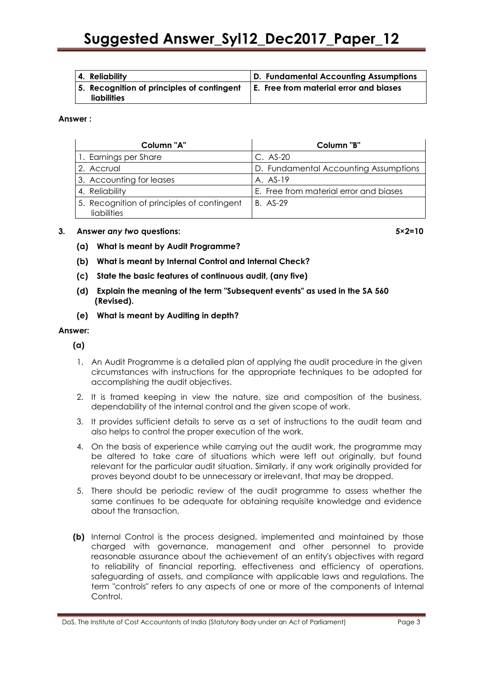| 4. Reliability                                                                                                        | D. Fundamental Accounting Assumptions |
|-----------------------------------------------------------------------------------------------------------------------|---------------------------------------|
| $\mid$ 5. Recognition of principles of contingent $\mid$ E. Free from material error and biases<br><b>liabilities</b> |                                       |

#### **Answer :**

| Column "A"                                                | Column "B"                             |
|-----------------------------------------------------------|----------------------------------------|
| 1. Earnings per Share                                     | $C.$ AS-20                             |
| 2. Accrual                                                | D. Fundamental Accounting Assumptions  |
| 3. Accounting for leases                                  | $A. AS-19$                             |
| 4. Reliability                                            | E. Free from material error and biases |
| 5. Recognition of principles of contingent<br>liabilities | B. AS-29                               |

#### **3. Answer** *any two* **questions: 5×2=10**

- **(a) What is meant by Audit Programme?**
- **(b) What is meant by Internal Control and Internal Check?**
- **(c) State the basic features of continuous audit, (any five)**
- **(d) Explain the meaning of the term "Subsequent events" as used in the SA 560 (Revised).**
- **(e) What is meant by Auditing in depth?**

#### **Answer:**

**(a)**

- 1. An Audit Programme is a detailed plan of applying the audit procedure in the given circumstances with instructions for the appropriate techniques to be adopted for accomplishing the audit objectives.
- 2. It is framed keeping in view the nature, size and composition of the business, dependability of the internal control and the given scope of work.
- 3. It provides sufficient details to serve as a set of instructions to the audit team and also helps to control the proper execution of the work.
- 4. On the basis of experience while carrying out the audit work, the programme may be altered to take care of situations which were left out originally, but found relevant for the particular audit situation. Similarly, if any work originally provided for proves beyond doubt to be unnecessary or irrelevant, that may be dropped.
- 5. There should be periodic review of the audit programme to assess whether the same continues to be adequate for obtaining requisite knowledge and evidence about the transaction,
- **(b)** Internal Control is the process designed, implemented and maintained by those charged with governance, management and other personnel to provide reasonable assurance about the achievement of an entity's objectives with regard to reliability of financial reporting, effectiveness and efficiency of operations, safeguarding of assets, and compliance with applicable laws and regulations. The term "controls" refers to any aspects of one or more of the components of Internal Control.

DoS, The Institute of Cost Accountants of India (Statutory Body under an Act of Parliament) Page 3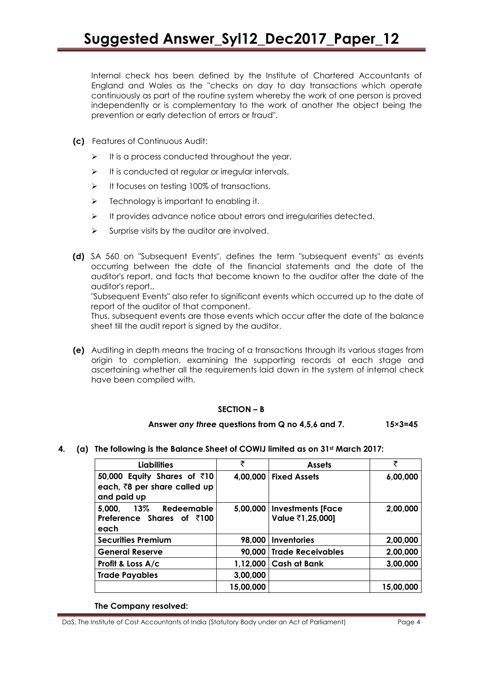Internal check has been defined by the Institute of Chartered Accountants of England and Wales as the ''checks on day to day transactions which operate continuously as part of the routine system whereby the work of one person is proved independently or is complementary to the work of another the object being the prevention or early detection of errors or fraud".

- **(c)** Features of Continuous Audit:
	- $\triangleright$  It is a process conducted throughout the year.
	- $\triangleright$  It is conducted at regular or irregular intervals.
	- $\triangleright$  It focuses on testing 100% of transactions.
	- $\triangleright$  Technology is important to enabling it.
	- $\triangleright$  It provides advance notice about errors and irregularities detected.
	- $\triangleright$  Surprise visits by the auditor are involved.
- **(d)** SA 560 on "Subsequent Events", defines the term "subsequent events" as events occurring between the date of the financial statements and the date of the auditor's report, and facts that become known to the auditor after the date of the auditor's report.,

"Subsequent Events" also refer to significant events which occurred up to the date of report of the auditor of that component.

Thus, subsequent events are those events which occur after the date of the balance sheet till the audit report is signed by the auditor.

**(e)** Auditing in depth means the tracing of a transactions through its various stages from origin to completion, examining the supporting records at each stage and ascertaining whether all the requirements laid down in the system of internal check have been compiled with.

#### **SECTION – B**

#### **Answer** *any three* **questions from Q no 4,5,6 and 7. 15×3=45**

**4. (a) The following is the Balance Sheet of COWIJ limited as on 31st March 2017:**

| Liabilities                                                                | ₹         | <b>Assets</b>                                | ₹         |
|----------------------------------------------------------------------------|-----------|----------------------------------------------|-----------|
| 50,000 Equity Shares of ₹10<br>each, ₹8 per share called up<br>and paid up |           | 4,00,000   Fixed Assets                      | 6,00,000  |
| 13% Redeemable<br>5,000.<br>Preference Shares of ₹100<br>each              | 5.00.000  | <b>Investments [Face</b><br>Value ₹1,25,000] | 2,00,000  |
| <b>Securities Premium</b>                                                  | 98,000    | <b>Inventories</b>                           | 2,00,000  |
| <b>General Reserve</b>                                                     | 90,000    | <b>Trade Receivables</b>                     | 2,00,000  |
| Profit & Loss A/c                                                          | 1,12,000  | <b>Cash at Bank</b>                          | 3,00,000  |
| <b>Trade Payables</b>                                                      | 3,00,000  |                                              |           |
|                                                                            | 15,00,000 |                                              | 15,00,000 |

**The Company resolved:**

DoS, The Institute of Cost Accountants of India (Statutory Body under an Act of Parliament) Page 4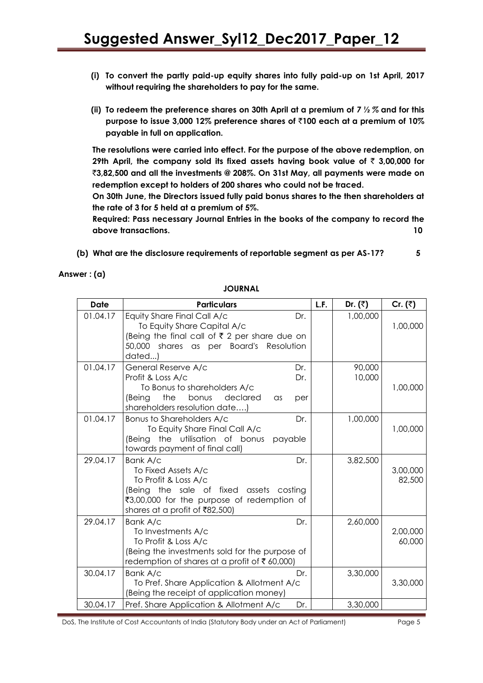- **(i) To convert the partly paid-up equity shares into fully paid-up on 1st April, 2017 without requiring the shareholders to pay for the same.**
- **(ii) To redeem the preference shares on 30th April at a premium of** *7 ½ %* **and for this purpose to issue 3,000 12% preference shares of** `**100 each at a premium of 10% payable in full on application.**

**The resolutions were carried into effect. For the purpose of the above redemption, on 29th April, the company sold its fixed assets having book value of**  $\bar{\tau}$  **3,00,000 for** `**3,82,500 and all the investments @ 208%. On 31st May, all payments were made on redemption except to holders of 200 shares who could not be traced.**

**On 30th June, the Directors issued fully paid bonus shares to the then shareholders at the rate of 3 for 5 held at a premium of 5%.**

**Required: Pass necessary Journal Entries in the books of the company to record the above transactions. 10**

**(b) What are the disclosure requirements of reportable segment as per AS-17? 5**

**Answer : (a)**

| <b>Date</b> | <b>Particulars</b>                                                                                                                                                                        | L.F. | Dr. $(\overline{\zeta})$ | Cr. $(\bar{z})$    |
|-------------|-------------------------------------------------------------------------------------------------------------------------------------------------------------------------------------------|------|--------------------------|--------------------|
| 01.04.17    | Equity Share Final Call A/c<br>Dr.<br>To Equity Share Capital A/c<br>(Being the final call of ₹ 2 per share due on<br>50,000 shares as per Board's Resolution<br>dated)                   |      | 1,00,000                 | 1,00,000           |
| 01.04.17    | General Reserve A/c<br>Dr.<br>Profit & Loss A/c<br>Dr.<br>To Bonus to shareholders A/c<br>the<br>bonus<br>declared<br>(Being<br>$\alpha$ s<br>per<br>shareholders resolution date)        |      | 90,000<br>10,000         | 1,00,000           |
| 01.04.17    | Bonus to Shareholders A/c<br>Dr.<br>To Equity Share Final Call A/c<br>the utilisation of bonus<br>(Being<br>payable<br>towards payment of final call)                                     |      | 1,00,000                 | 1,00,000           |
| 29.04.17    | Bank A/c<br>Dr.<br>To Fixed Assets A/c<br>To Profit & Loss A/c<br>(Being the sale of fixed assets costing<br>₹3,00,000 for the purpose of redemption of<br>shares at a profit of ₹82,500) |      | 3,82,500                 | 3,00,000<br>82,500 |
| 29.04.17    | Bank A/c<br>Dr.<br>To Investments A/c<br>To Profit & Loss A/c<br>(Being the investments sold for the purpose of<br>redemption of shares at a profit of ₹ 60,000)                          |      | 2,60,000                 | 2,00,000<br>60,000 |
| 30.04.17    | Bank A/c<br>Dr.<br>To Pref. Share Application & Allotment A/c<br>(Being the receipt of application money)                                                                                 |      | 3,30,000                 | 3,30,000           |
| 30.04.17    | Pref. Share Application & Allotment A/c<br>Dr.                                                                                                                                            |      | 3,30,000                 |                    |

**JOURNAL**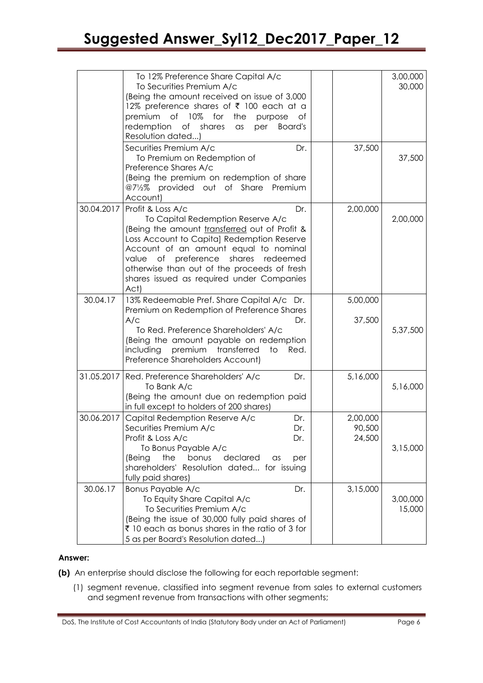|            | To 12% Preference Share Capital A/c<br>To Securities Premium A/c<br>(Being the amount received on issue of 3,000                                                                                                                                                                                                                                                |                              | 3,00,000<br>30,000 |
|------------|-----------------------------------------------------------------------------------------------------------------------------------------------------------------------------------------------------------------------------------------------------------------------------------------------------------------------------------------------------------------|------------------------------|--------------------|
|            | 12% preference shares of ₹ 100 each at a<br>premium of 10% for<br>the<br>purpose<br>of<br>redemption<br>of shares<br>Board's<br>per<br>as<br>Resolution dated)                                                                                                                                                                                                  |                              |                    |
|            | Securities Premium A/c<br>Dr.<br>To Premium on Redemption of<br>Preference Shares A/c<br>(Being the premium on redemption of share<br>@71/2% provided out of Share Premium                                                                                                                                                                                      | 37,500                       | 37,500             |
| 30.04.2017 | Account)<br>Profit & Loss A/c<br>Dr.<br>To Capital Redemption Reserve A/c<br>(Being the amount transferred out of Profit &<br>Loss Account to Capital Redemption Reserve<br>Account of an amount equal to nominal<br>value of preference<br>shares redeemed<br>otherwise than out of the proceeds of fresh<br>shares issued as required under Companies<br>Act) | 2,00,000                     | 2,00,000           |
| 30.04.17   | 13% Redeemable Pref. Share Capital A/c Dr.<br>Premium on Redemption of Preference Shares<br>A/c<br>Dr.<br>To Red. Preference Shareholders' A/c<br>(Being the amount payable on redemption<br>premium<br>transferred<br>including<br>Red.<br>to<br>Preference Shareholders Account)                                                                              | 5,00,000<br>37,500           | 5,37,500           |
| 31.05.2017 | Red. Preference Shareholders' A/c<br>Dr.<br>To Bank A/c<br>(Being the amount due on redemption paid<br>in full except to holders of 200 shares)                                                                                                                                                                                                                 | 5,16,000                     | 5,16,000           |
| 30.06.2017 | Capital Redemption Reserve A/c<br>Dr.<br>Securities Premium A/c<br>Dr.<br>Profit & Loss A/c<br>Dr.<br>To Bonus Payable A/c<br>the<br>bonus<br>declared<br>(Being<br>per<br>as<br>shareholders' Resolution dated for issuing<br>fully paid shares)                                                                                                               | 2,00,000<br>90,500<br>24,500 | 3,15,000           |
| 30.06.17   | Bonus Payable A/c<br>Dr.<br>To Equity Share Capital A/c<br>To Securities Premium A/c<br>(Being the issue of 30,000 fully paid shares of<br>₹ 10 each as bonus shares in the ratio of 3 for<br>5 as per Board's Resolution dated)                                                                                                                                | 3,15,000                     | 3,00,000<br>15,000 |

#### **Answer:**

**(b)** An enterprise should disclose the following for each reportable segment:

(1) segment revenue, classified into segment revenue from sales to external customers and segment revenue from transactions with other segments;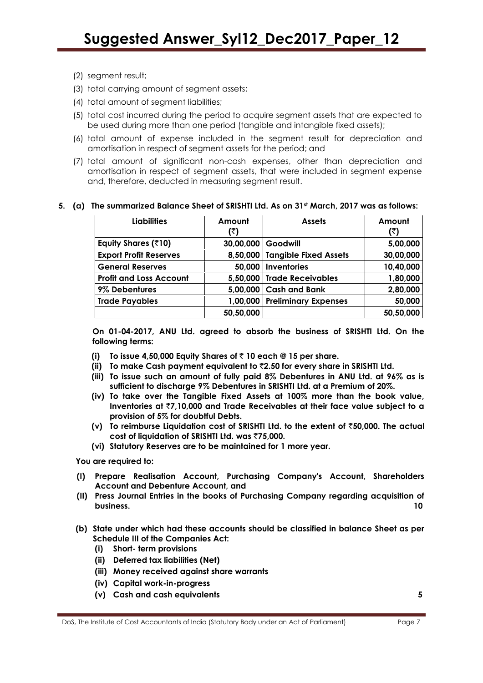- (2) segment result;
- (3) total carrying amount of segment assets;
- (4) total amount of segment liabilities;
- (5) total cost incurred during the period to acquire segment assets that are expected to be used during more than one period (tangible and intangible fixed assets);
- (6) total amount of expense included in the segment result for depreciation and amortisation in respect of segment assets for the period; and
- (7) total amount of significant non-cash expenses, other than depreciation and amortisation in respect of segment assets, that were included in segment expense and, therefore, deducted in measuring segment result.

#### **5. (a) The summarized Balance Sheet of SRISHTI Ltd. As on 31st March, 2017 was as follows:**

| Liabilities                    | Amount<br>(₹) | <b>Assets</b>               | Amount<br>(₹) |
|--------------------------------|---------------|-----------------------------|---------------|
| Equity Shares (₹10)            | 30,00,000     | Goodwill                    | 5,00,000      |
| <b>Export Profit Reserves</b>  | 8,50,000      | Tangible Fixed Assets       | 30,00,000     |
| <b>General Reserves</b>        | 50,000        | Inventories                 | 10,40,000     |
| <b>Profit and Loss Account</b> |               | 5,50,000 Trade Receivables  | 1,80,000      |
| 9% Debentures                  |               | 5,00,000 Cash and Bank      | 2,80,000      |
| <b>Trade Payables</b>          | 1,00,000      | <b>Preliminary Expenses</b> | 50,000        |
|                                | 50,50,000     |                             | 50,50,000     |

**On 01-04-2017, ANU Ltd. agreed to absorb the business of SRISHTI Ltd. On the following terms:** 

- **(i) To issue 4,50,000 Equity Shares of** ` **10 each @ 15 per share.**
- **(ii) To make Cash payment equivalent to** `**2.50 for every share in SRISHTI Ltd.**
- **(iii) To issue such an amount of fully paid 8% Debentures in ANU Ltd. at 96% as is sufficient to discharge 9% Debentures in SRISHTI Ltd. at a Premium of 20%.**
- **(iv) To take over the Tangible Fixed Assets at 100% more than the book value, Inventories at** `**7,10,000 and Trade Receivables at their face value subject to a provision of 5% for doubtful Debts.**
- **(v) To reimburse Liquidation cost of SRISHTI Ltd. to the extent of** `**50,000. The actual cost of liquidation of SRISHTI Ltd. was** `**75,000.**
- **(vi) Statutory Reserves are to be maintained for 1 more year.**

**You are required to:** 

- **(I) Prepare Realisation Account, Purchasing Company's Account, Shareholders Account and Debenture Account, and**
- **(II) Press Journal Entries in the books of Purchasing Company regarding acquisition of business. 10**
- **(b) State under which had these accounts should be classified in balance Sheet as per Schedule III of the Companies Act:** 
	- **(i) Short- term provisions**
	- **(ii) Deferred tax liabilities (Net)**
	- **(iii) Money received against share warrants**
	- **(iv) Capital work-in-progress**
	- **(v) Cash and cash equivalents 5**

DoS, The Institute of Cost Accountants of India (Statutory Body under an Act of Parliament) Page 7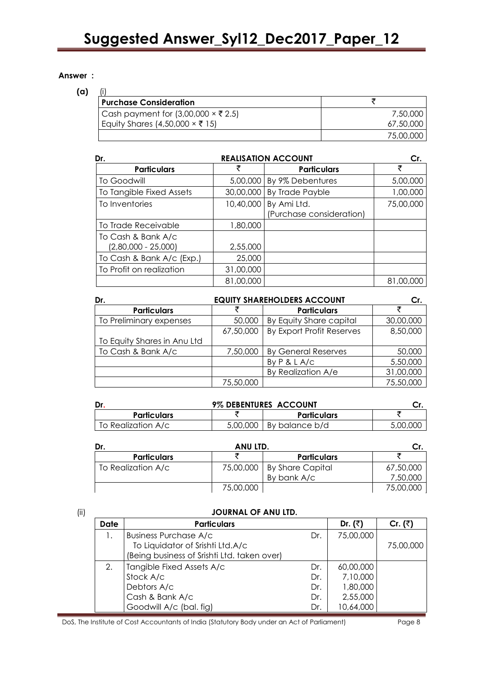#### **Answer :**

### **(a)** (i)

| <b>Purchase Consideration</b>              |           |
|--------------------------------------------|-----------|
| Cash payment for (3,00,000 $\times$ ₹ 2.5) | 7,50,000  |
| Equity Shares (4,50,000 $\times$ ₹ 15)     | 67,50,000 |
|                                            | 75,00,000 |

| Dr.                                         | <b>REALISATION ACCOUNT</b> | Cr.                                               |           |
|---------------------------------------------|----------------------------|---------------------------------------------------|-----------|
| <b>Particulars</b>                          | ₹                          | <b>Particulars</b>                                |           |
| To Goodwill                                 | 5,00,000                   | By 9% Debentures                                  | 5,00,000  |
| To Tangible Fixed Assets                    | 30,00,000                  | <b>By Trade Payble</b>                            | 1,00,000  |
| To Inventories                              |                            | 10,40,000 By Ami Ltd.<br>(Purchase consideration) | 75,00,000 |
| To Trade Receivable                         | 1,80,000                   |                                                   |           |
| To Cash & Bank A/c<br>$(2,80,000 - 25,000)$ | 2,55,000                   |                                                   |           |
| To Cash & Bank A/c (Exp.)                   | 25,000                     |                                                   |           |
| To Profit on realization                    | 31,00,000                  |                                                   |           |
|                                             | 81,00,000                  |                                                   | 81,00,000 |

| Dr.                         | <b>EQUITY SHAREHOLDERS ACCOUNT</b> | Cr.                        |           |
|-----------------------------|------------------------------------|----------------------------|-----------|
| <b>Particulars</b>          |                                    | <b>Particulars</b>         | チ         |
| To Preliminary expenses     | 50,000                             | By Equity Share capital    | 30,00,000 |
|                             | 67,50,000                          | By Export Profit Reserves  | 8,50,000  |
| To Equity Shares in Anu Ltd |                                    |                            |           |
| To Cash & Bank A/c          | 7,50,000                           | <b>By General Reserves</b> | 50,000    |
|                             |                                    | By $P$ & $L$ A/c           | 5,50,000  |
|                             |                                    | By Realization A/e         | 31,00,000 |
|                             | 75,50,000                          |                            | 75,50,000 |

|                    | 9% DEBENTURES ACCOUNT |                |          |  |
|--------------------|-----------------------|----------------|----------|--|
| <b>Particulars</b> | <b>Particulars</b>    |                |          |  |
| To Realization A/c | 5,00,000              | By balance b/d | 5,00,000 |  |

| Dr.                | ANU LTD.  |                    |           |
|--------------------|-----------|--------------------|-----------|
| <b>Particulars</b> |           | <b>Particulars</b> |           |
| To Realization A/c | 75,00,000 | By Share Capital   | 67,50,000 |
|                    |           | By bank A/c        | 7,50,000  |
|                    | 75,00,000 |                    | 75,00,000 |

#### (ii) **JOURNAL OF ANU LTD.**

| <b>Date</b> | <b>Particulars</b>                          |     | Dr. $(3)$ | Cr. $(3)$ |
|-------------|---------------------------------------------|-----|-----------|-----------|
|             | <b>Business Purchase A/c</b>                | Dr. | 75,00,000 |           |
|             | To Liquidator of Srishti Ltd.A/c            |     |           | 75,00,000 |
|             | (Being business of Srishti Ltd. taken over) |     |           |           |
| 2.          | Tangible Fixed Assets A/c                   | Dr. | 60,00,000 |           |
|             | Stock A/c                                   | Dr. | 7,10,000  |           |
|             | Debtors A/c                                 | Dr. | 1,80,000  |           |
|             | Cash & Bank A/c                             | Dr. | 2,55,000  |           |
|             | Goodwill A/c (bal. fig)                     | Dr. | 10,64,000 |           |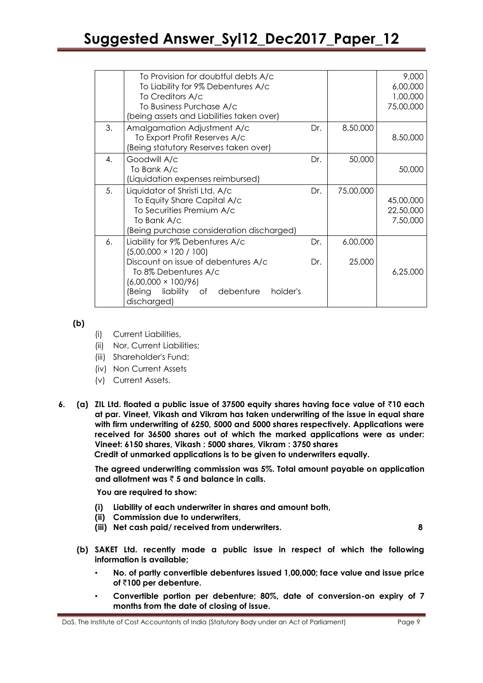|    | To Provision for doubtful debts A/c<br>To Liability for 9% Debentures A/c<br>To Creditors A/c<br>To Business Purchase A/c                                                                                                 |            |                    | 9,000<br>6,00,000<br>1,00,000<br>75,00,000 |
|----|---------------------------------------------------------------------------------------------------------------------------------------------------------------------------------------------------------------------------|------------|--------------------|--------------------------------------------|
|    | (being assets and Liabilities taken over)                                                                                                                                                                                 |            |                    |                                            |
| 3. | Amalgamation Adjustment A/c<br>To Export Profit Reserves A/c<br>(Being statutory Reserves taken over)                                                                                                                     | Dr.        | 8,50,000           | 8,50,000                                   |
| 4. | Goodwill A/c<br>To Bank A/c<br>(Liquidation expenses reimbursed)                                                                                                                                                          | Dr.        | 50,000             | 50,000                                     |
| 5. | Liquidator of Shristi Ltd. A/c<br>To Equity Share Capital A/c<br>To Securities Premium A/c<br>To Bank A/c<br>(Being purchase consideration discharged)                                                                    | Dr.        | 75,00,000          | 45,00,000<br>22,50,000<br>7,50,000         |
| 6. | Liability for 9% Debentures A/c<br>$(5,00,000 \times 120 / 100)$<br>Discount on issue of debentures A/c<br>To 8% Debentures A/c<br>$(6,00,000 \times 100/96)$<br>(Being liability of debenture<br>holder's<br>discharged) | Dr.<br>Dr. | 6,00,000<br>25,000 | 6,25,000                                   |

**(b)**

- (i) Current Liabilities,
- (ii) Nor, Current Liabilities;
- (iii) Shareholder's Fund;
- (iv) Non Current Assets
- (v) Current Assets.
- **6. (a) ZIL Ltd. floated a public issue of 37500 equity shares having face value of** `**10 each at par. Vineet, Vikash and Vikram has taken underwriting of the issue in equal share with firm underwriting of 6250, 5000 and 5000 shares respectively. Applications were received for 36500 shares out of which the marked applications were as under: Vineet: 6150 shares, Vikash : 5000 shares, Vikram : 3750 shares Credit of unmarked applications is to be given to underwriters equally.**

**The agreed underwriting commission was 5%. Total amount payable on application and allotment was** ` **5 and balance in calls.**

 **You are required to show:**

- **(i) Liability of each underwriter in shares and amount both,**
- **(ii) Commission due to underwriters,**
- **(iii) Net cash paid/ received from underwriters. 8**

- **(b) SAKET Ltd. recently made a public issue in respect of which the following information is available;**
	- **No. of partly convertible debentures issued 1,00,000; face value and issue price of** `**100 per debenture.**
	- **Convertible portion per debenture; 80%, date of conversion-on expiry of 7 months from the date of closing of issue.**

DoS, The Institute of Cost Accountants of India (Statutory Body under an Act of Parliament) Page 9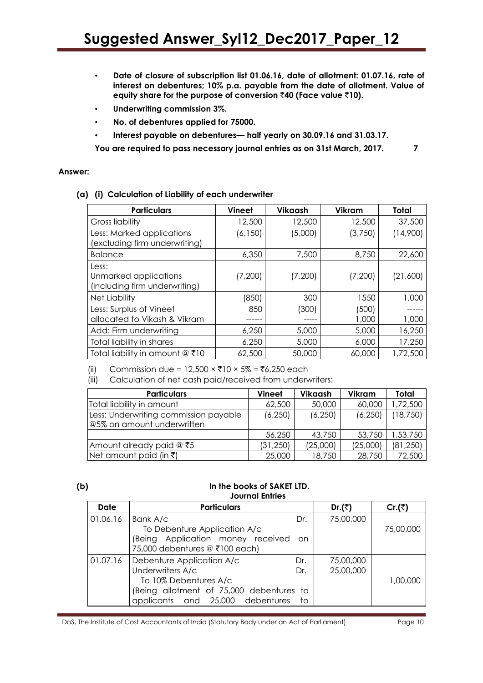- **Date of closure of subscription list 01.06.16, date of allotment: 01.07.16, rate of interest on debentures; 10% p.a. payable from the date of allotment. Value of equity share for the purpose of conversion** `**40 (Face value** `**10).**
- **Underwriting commission 3%.**
- **No. of debentures applied for 75000.**
- **Interest payable on debentures— half yearly on 30.09.16 and 31.03.17.**

**You are required to pass necessary journal entries as on 31st March, 2017. 7**

#### **Answer:**

**(a) (i) Calculation of Liability of each underwriter**

| <b>Particulars</b>                                              | <b>Vineet</b> | Vikaash | <b>Vikram</b>  | Total    |
|-----------------------------------------------------------------|---------------|---------|----------------|----------|
| Gross liability                                                 | 12,500        | 12,500  | 12,500         | 37,500   |
| Less: Marked applications<br>(excluding firm underwriting)      | (6, 150)      | (5,000) | (3,750)        | (14,900) |
| <b>Balance</b>                                                  | 6,350         | 7,500   | 8,750          | 22,600   |
| Less:<br>Unmarked applications<br>(including firm underwriting) | (7,200)       | (7,200) | (7,200)        | (21,600) |
| Net Liability                                                   | (850)         | 300     | 1550           | 1,000    |
| Less: Surplus of Vineet<br>allocated to Vikash & Vikram         | 850           | (300)   | (500)<br>1,000 | 1,000    |
| Add: Firm underwriting                                          | 6,250         | 5,000   | 5,000          | 16,250   |
| Total liability in shares                                       | 6,250         | 5,000   | 6,000          | 17,250   |
| Total liability in amount @ ₹10                                 | 62,500        | 50,000  | 60,000         | 1,72,500 |

(ii) Commission due = 12,500 × ₹10 × 5% = ₹6,250 each

(iii) Calculation of net cash paid/received from underwriters:

| <b>Particulars</b>                    | <b>Vineet</b> | Vikaash  | Vikram   | Total     |
|---------------------------------------|---------------|----------|----------|-----------|
| Total liability in amount             | 62,500        | 50,000   | 60,000   | ,72,500   |
| Less: Underwriting commission payable | (6, 250)      | (6, 250) | (6, 250) | (18, 750) |
| @5% on amount underwritten            |               |          |          |           |
|                                       | 56,250        | 43,750   | 53,750   | 1,53,750  |
| Amount already paid $@$ ₹5            | (31, 250)     | (25,000) | (25,000) | (81, 250) |
| $Net$ amount paid (in ₹)              | 25,000        | 18,750   | 28,750   | 72,500    |

#### **(b) In the books of SAKET LTD. Journal Entries**

| <b>Date</b> | <b>Particulars</b>                       |     | Dr.(₹)    | Cr.(₹)    |
|-------------|------------------------------------------|-----|-----------|-----------|
| 01.06.16    | Bank A/c                                 | Dr. | 75,00,000 |           |
|             | To Debenture Application A/c             |     |           | 75,00,000 |
|             | (Being Application money received        | -on |           |           |
|             | 75,000 debentures @ ₹100 each)           |     |           |           |
| 01.07.16    | Debenture Application A/c                | Dr. | 75,00,000 |           |
|             | Underwriters A/c                         | Dr. | 25,00,000 |           |
|             | To 10% Debentures A/c                    |     |           | 1,00,000  |
|             | (Being allotment of 75,000 debentures to |     |           |           |
|             | applicants and 25,000 debentures         | to  |           |           |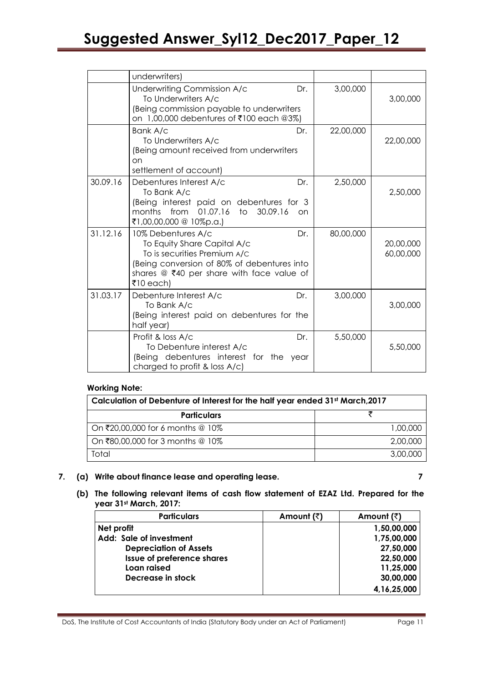|          | underwriters)                                                                                                                                                                                       |           |                        |
|----------|-----------------------------------------------------------------------------------------------------------------------------------------------------------------------------------------------------|-----------|------------------------|
|          | Underwriting Commission A/c<br>Dr.<br>To Underwriters A/c<br>(Being commission payable to underwriters<br>on 1,00,000 debentures of ₹100 each @3%)                                                  | 3,00,000  | 3,00,000               |
|          | Bank A/c<br>Dr.<br>To Underwriters A/c<br>(Being amount received from underwriters<br>on<br>settlement of account)                                                                                  | 22,00,000 | 22,00,000              |
| 30.09.16 | Debentures Interest A/c<br>Dr.<br>To Bank A/c<br>(Being interest paid on debentures for 3<br>01.07.16<br>months<br>from<br>to<br>30.09.16<br><sub>on</sub><br>₹1,00,00,000 @ 10%p.a.)               | 2,50,000  | 2,50,000               |
| 31.12.16 | 10% Debentures A/c<br>Dr.<br>To Equity Share Capital A/c<br>To is securities Premium A/C<br>(Being conversion of 80% of debentures into<br>shares $@$ ₹40 per share with face value of<br>₹10 each) | 80,00,000 | 20,00,000<br>60,00,000 |
| 31.03.17 | Debenture Interest A/c<br>Dr.<br>To Bank A/c<br>(Being interest paid on debentures for the<br>half year)                                                                                            | 3,00,000  | 3,00,000               |
|          | Profit & loss A/c<br>Dr.<br>To Debenture interest A/c<br>(Being debentures interest for the<br>year<br>charged to profit & loss A/c)                                                                | 5,50,000  | 5,50,000               |

### **Working Note:**

| Calculation of Debenture of Interest for the half year ended 31st March, 2017 |          |  |  |
|-------------------------------------------------------------------------------|----------|--|--|
| <b>Particulars</b>                                                            |          |  |  |
| On ₹20,00,000 for 6 months @ 10%                                              | 1,00,000 |  |  |
| On ₹80,00,000 for 3 months @ 10%                                              | 2,00,000 |  |  |
| Total                                                                         | 3,00,000 |  |  |

### **7. (a) Write about finance lease and operating lease. 7**

**(b) The following relevant items of cash flow statement of EZAZ Ltd. Prepared for the year 31st March, 2017:**

| <b>Particulars</b>                | Amount (₹) | Amount $(\bar{z})$ |
|-----------------------------------|------------|--------------------|
| Net profit                        |            | 1,50,00,000        |
| Add: Sale of investment           |            | 1,75,00,000        |
| <b>Depreciation of Assets</b>     |            | 27,50,000          |
| <b>Issue of preference shares</b> |            | 22,50,000          |
| Loan raised                       |            | 11,25,000          |
| Decrease in stock                 |            | 30,00,000          |
|                                   |            | 4, 16, 25, 000     |

DoS, The Institute of Cost Accountants of India (Statutory Body under an Act of Parliament) Page 11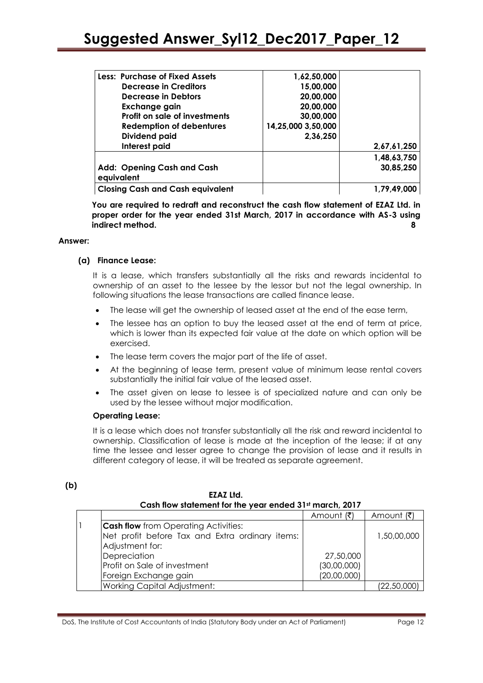| <b>Less: Purchase of Fixed Assets</b>           | 1,62,50,000        |             |
|-------------------------------------------------|--------------------|-------------|
| <b>Decrease in Creditors</b>                    | 15,00,000          |             |
| Decrease in Debtors                             | 20,00,000          |             |
| Exchange gain                                   | 20,00,000          |             |
| Profit on sale of investments                   | 30,00,000          |             |
| <b>Redemption of debentures</b>                 | 14,25,000 3,50,000 |             |
| <b>Dividend paid</b>                            | 2,36,250           |             |
| Interest paid                                   |                    | 2,67,61,250 |
|                                                 |                    | 1,48,63,750 |
| <b>Add: Opening Cash and Cash</b><br>equivalent |                    | 30,85,250   |
| <b>Closing Cash and Cash equivalent</b>         |                    | 1,79,49,000 |

**You are required to redraft and reconstruct the cash flow statement of EZAZ Ltd. in proper order for the year ended 31st March, 2017 in accordance with AS-3 using indirect method. 8**

#### **Answer:**

**(b)** 

#### **(a) Finance Lease:**

It is a lease, which transfers substantially all the risks and rewards incidental to ownership of an asset to the lessee by the lessor but not the legal ownership. In following situations the lease transactions are called finance lease.

- The lease will get the ownership of leased asset at the end of the ease term,
- The lessee has an option to buy the leased asset at the end of term at price, which is lower than its expected fair value at the date on which option will be exercised.
- The lease term covers the major part of the life of asset.
- At the beginning of lease term, present value of minimum lease rental covers substantially the initial fair value of the leased asset.
- The asset given on lease to lessee is of specialized nature and can only be used by the lessee without major modification.

#### **Operating Lease:**

It is a lease which does not transfer substantially all the risk and reward incidental to ownership. Classification of lease is made at the inception of the lease; if at any time the lessee and lesser agree to change the provision of lease and it results in different category of lease, it will be treated as separate agreement.

| LLAL LIU.<br>Cash flow statement for the year ended 31 <sup>st</sup> march, 2017 |             |             |
|----------------------------------------------------------------------------------|-------------|-------------|
|                                                                                  | Amount (₹)  | Amount (₹)  |
| <b>Cash flow</b> from Operating Activities:                                      |             |             |
| Net profit before Tax and Extra ordinary items:                                  |             | 1,50,00,000 |
| Adjustment for:                                                                  |             |             |
| Depreciation                                                                     | 27,50,000   |             |
| Profit on Sale of investment                                                     | (30,00,000) |             |
| Foreign Exchange gain                                                            | (20,00,000) |             |
| <b>Working Capital Adjustment:</b>                                               |             | (22,50,000) |

**EZAZ Ltd.**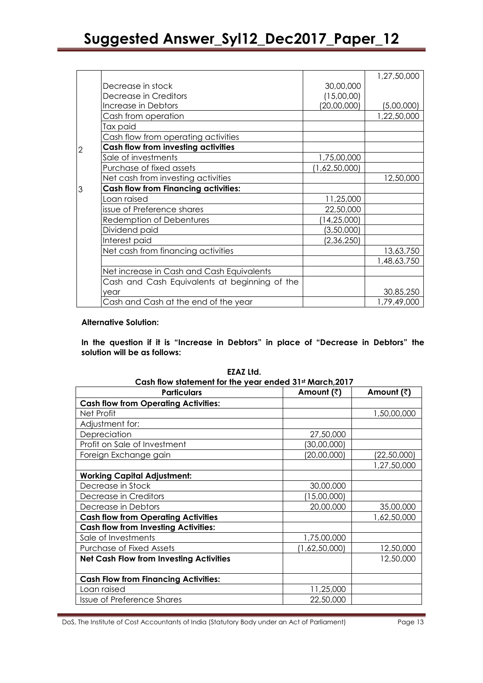|                |                                               |               | 1,27,50,000 |
|----------------|-----------------------------------------------|---------------|-------------|
|                | Decrease in stock                             | 30,00,000     |             |
|                | Decrease in Creditors                         | (15,00,00)    |             |
|                | Increase in Debtors                           | (20,00,000)   | (5,00,000)  |
|                | Cash from operation                           |               | 1,22,50,000 |
|                | Tax paid                                      |               |             |
|                | Cash flow from operating activities           |               |             |
| $\overline{2}$ | Cash flow from investing activities           |               |             |
|                | Sale of investments                           | 1,75,00,000   |             |
|                | Purchase of fixed assets                      | (1,62,50,000) |             |
|                | Net cash from investing activities            |               | 12,50,000   |
| $\overline{3}$ | <b>Cash flow from Financing activities:</b>   |               |             |
|                | Loan raised                                   | 11,25,000     |             |
|                | issue of Preference shares                    | 22,50,000     |             |
|                | <b>Redemption of Debentures</b>               | (14, 25, 000) |             |
|                | Dividend paid                                 | (3,50,000)    |             |
|                | Interest paid                                 | (2,36,250)    |             |
|                | Net cash from financing activities            |               | 13,63,750   |
|                |                                               |               | 1,48,63,750 |
|                | Net increase in Cash and Cash Equivalents     |               |             |
|                | Cash and Cash Equivalents at beginning of the |               |             |
|                | year                                          |               | 30,85,250   |
|                | Cash and Cash at the end of the year          |               | 1,79,49,000 |

#### **Alternative Solution:**

In the question if it is "Increase in Debtors" in place of "Decrease in Debtors" the **solution will be as follows:**

| Cash flow statement for the year ended 31st March, 2017 |               |             |  |
|---------------------------------------------------------|---------------|-------------|--|
| <b>Particulars</b>                                      | Amount (₹)    | Amount (₹)  |  |
| <b>Cash flow from Operating Activities:</b>             |               |             |  |
| Net Profit                                              |               | 1,50,00,000 |  |
| Adjustment for:                                         |               |             |  |
| Depreciation                                            | 27,50,000     |             |  |
| Profit on Sale of Investment                            | (30,00,000)   |             |  |
| Foreign Exchange gain                                   | (20,00,000)   | (22,50,000) |  |
|                                                         |               | 1,27,50,000 |  |
| <b>Working Capital Adjustment:</b>                      |               |             |  |
| Decrease in Stock                                       | 30,00,000     |             |  |
| Decrease in Creditors                                   | (15,00,000)   |             |  |
| Decrease in Debtors                                     | 20,00,000     | 35,00,000   |  |
| <b>Cash flow from Operating Activities</b>              |               | 1,62,50,000 |  |
| <b>Cash flow from Investing Activities:</b>             |               |             |  |
| Sale of Investments                                     | 1,75,00,000   |             |  |
| Purchase of Fixed Assets                                | (1,62,50,000) | 12,50,000   |  |
| <b>Net Cash Flow from Investing Activities</b>          |               | 12,50,000   |  |
|                                                         |               |             |  |
| <b>Cash Flow from Financing Activities:</b>             |               |             |  |
| Loan raised                                             | 11,25,000     |             |  |
| <b>Issue of Preference Shares</b>                       | 22,50,000     |             |  |

**EZAZ Ltd.**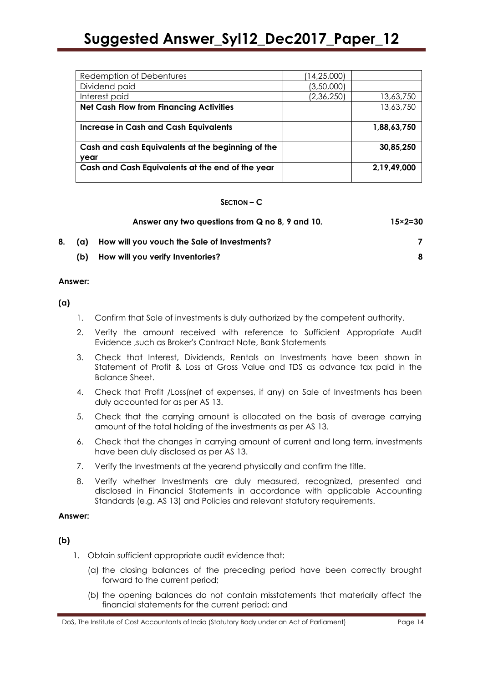| Redemption of Debentures                          | 14,25,000) |             |
|---------------------------------------------------|------------|-------------|
| Dividend paid                                     | (3,50,000) |             |
| Interest paid                                     | (2,36,250) | 13,63,750   |
| <b>Net Cash Flow from Financing Activities</b>    |            | 13,63,750   |
|                                                   |            |             |
| <b>Increase in Cash and Cash Equivalents</b>      |            | 1,88,63,750 |
|                                                   |            |             |
| Cash and cash Equivalents at the beginning of the |            | 30,85,250   |
| vear                                              |            |             |
| Cash and Cash Equivalents at the end of the year  |            | 2,19,49,000 |
|                                                   |            |             |

#### **SECTION – C**

|      | Answer any two questions from Q no 8, 9 and 10. | $15 \times 2 = 30$ |
|------|-------------------------------------------------|--------------------|
|      | (a) How will you vouch the Sale of Investments? |                    |
| (b). | How will you verify Inventories?                | 8                  |

#### **Answer:**

**(a)**

- 1. Confirm that Sale of investments is duly authorized by the competent authority.
- 2. Verity the amount received with reference to Sufficient Appropriate Audit Evidence ,such as Broker's Contract Note, Bank Statements
- 3. Check that Interest, Dividends, Rentals on Investments have been shown in Statement of Profit & Loss at Gross Value and TDS as advance tax paid in the Balance Sheet.
- 4. Check that Profit /Loss(net of expenses, if any) on Sale of Investments has been duly accounted for as per AS 13.
- 5. Check that the carrying amount is allocated on the basis of average carrying amount of the total holding of the investments as per AS 13.
- 6. Check that the changes in carrying amount of current and long term, investments have been duly disclosed as per AS 13.
- 7. Verify the Investments at the yearend physically and confirm the title.
- 8. Verify whether Investments are duly measured, recognized, presented and disclosed in Financial Statements in accordance with applicable Accounting Standards (e.g. AS 13) and Policies and relevant statutory requirements.

#### **Answer:**

#### **(b)**

- 1. Obtain sufficient appropriate audit evidence that:
	- (a) the closing balances of the preceding period have been correctly brought forward to the current period;
	- (b) the opening balances do not contain misstatements that materially affect the financial statements for the current period; and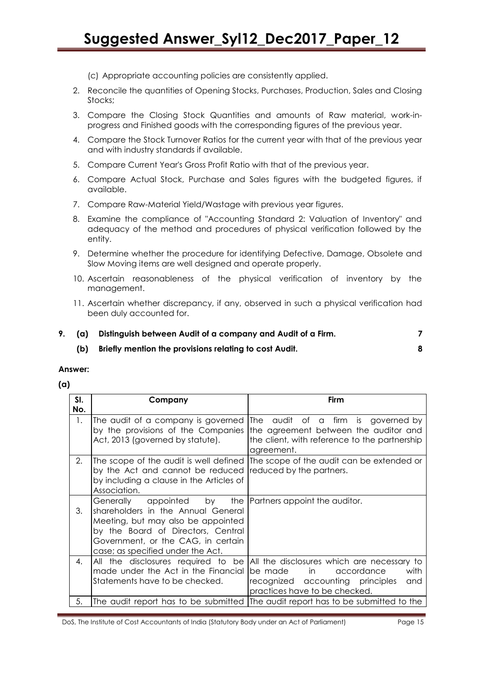(c) Appropriate accounting policies are consistently applied.

- 2. Reconcile the quantities of Opening Stocks, Purchases, Production, Sales and Closing Stocks;
- 3. Compare the Closing Stock Quantities and amounts of Raw material, work-inprogress and Finished goods with the corresponding figures of the previous year.
- 4. Compare the Stock Turnover Ratios for the current year with that of the previous year and with industry standards if available.
- 5. Compare Current Year's Gross Profit Ratio with that of the previous year.
- 6. Compare Actual Stock, Purchase and Sales figures with the budgeted figures, if available.
- 7. Compare Raw-Material Yield/Wastage with previous year figures.
- 8. Examine the compliance of "Accounting Standard 2: Valuation of Inventory" and adequacy of the method and procedures of physical verification followed by the entity.
- 9. Determine whether the procedure for identifying Defective, Damage, Obsolete and Slow Moving items are well designed and operate properly.
- 10. Ascertain reasonableness of the physical verification of inventory by the management.
- 11. Ascertain whether discrepancy, if any, observed in such a physical verification had been duly accounted for.
- **9. (a) Distinguish between Audit of a company and Audit of a Firm. 7** 
	- **(b) Briefly mention the provisions relating to cost Audit. 8**

#### **Answer:**

**(a)** 

| SI.<br>No. | Company                                                                                                                                                                                                | <b>Firm</b>                                                                                                                                                           |
|------------|--------------------------------------------------------------------------------------------------------------------------------------------------------------------------------------------------------|-----------------------------------------------------------------------------------------------------------------------------------------------------------------------|
| 1.         | The audit of a company is governed<br>by the provisions of the Companies<br>Act, 2013 (governed by statute).                                                                                           | The audit of a firm is governed by<br>the agreement between the auditor and<br>the client, with reference to the partnership<br>agreement.                            |
| 2.         | by the Act and cannot be reduced<br>by including a clause in the Articles of<br>Association.                                                                                                           | The scope of the audit is well defined (The scope of the audit can be extended or<br>reduced by the partners.                                                         |
| 3.         | Generally<br>shareholders in the Annual General<br>Meeting, but may also be appointed<br>by the Board of Directors, Central<br>Government, or the CAG, in certain<br>case; as specified under the Act. | appointed by the  Partners appoint the auditor.                                                                                                                       |
| 4.         | All the disclosures required to be<br>made under the Act in the Financial<br>Statements have to be checked.                                                                                            | All the disclosures which are necessary to<br>be made<br>with<br>in the set<br>accordance<br>recognized accounting principles<br>and<br>practices have to be checked. |
| 5.         |                                                                                                                                                                                                        | The audit report has to be submitted (The audit report has to be submitted to the                                                                                     |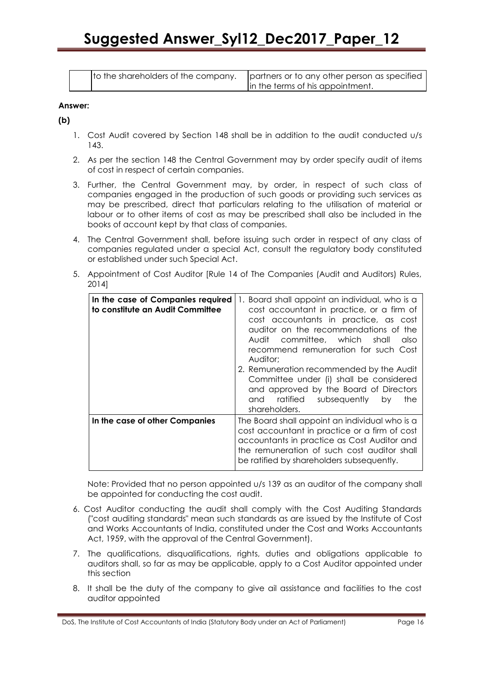| to the shareholders of the company. |  |
|-------------------------------------|--|
|                                     |  |

artners or to any other person as specified the terms of his appointment.

#### **Answer:**

**(b)** 

- 1. Cost Audit covered by Section 148 shall be in addition to the audit conducted u/s 143.
- 2. As per the section 148 the Central Government may by order specify audit of items of cost in respect of certain companies.
- 3. Further, the Central Government may, by order, in respect of such class of companies engaged in the production of such goods or providing such services as may be prescribed, direct that particulars relating to the utilisation of material or labour or to other items of cost as may be prescribed shall also be included in the books of account kept by that class of companies.
- 4. The Central Government shall, before issuing such order in respect of any class of companies regulated under a special Act, consult the regulatory body constituted or established under such Special Act.
- 5. Appointment of Cost Auditor [Rule 14 of The Companies (Audit and Auditors) Rules, 2014]

| In the case of Companies required<br>to constitute an Audit Committee | 1. Board shall appoint an individual, who is a<br>cost accountant in practice, or a firm of<br>cost accountants in practice, as cost<br>auditor on the recommendations of the<br>Audit committee, which shall<br>also<br>recommend remuneration for such Cost<br>Auditor:<br>2. Remuneration recommended by the Audit |
|-----------------------------------------------------------------------|-----------------------------------------------------------------------------------------------------------------------------------------------------------------------------------------------------------------------------------------------------------------------------------------------------------------------|
|                                                                       | Committee under (i) shall be considered<br>and approved by the Board of Directors<br>ratified subsequently by<br>and<br>the<br>shareholders.                                                                                                                                                                          |
| In the case of other Companies                                        | The Board shall appoint an individual who is a<br>cost accountant in practice or a firm of cost<br>accountants in practice as Cost Auditor and<br>the remuneration of such cost auditor shall<br>be ratified by shareholders subsequently.                                                                            |

Note: Provided that no person appointed u/s 139 as an auditor of the company shall be appointed for conducting the cost audit.

- 6. Cost Auditor conducting the audit shall comply with the Cost Auditing Standards ("cost auditing standards" mean such standards as are issued by the Institute of Cost and Works Accountants of India, constituted under the Cost and Works Accountants Act, 1959, with the approval of the Central Government).
- 7. The qualifications, disqualifications, rights, duties and obligations applicable to auditors shall, so far as may be applicable, apply to a Cost Auditor appointed under this section
- 8. It shall be the duty of the company to give ail assistance and facilities to the cost auditor appointed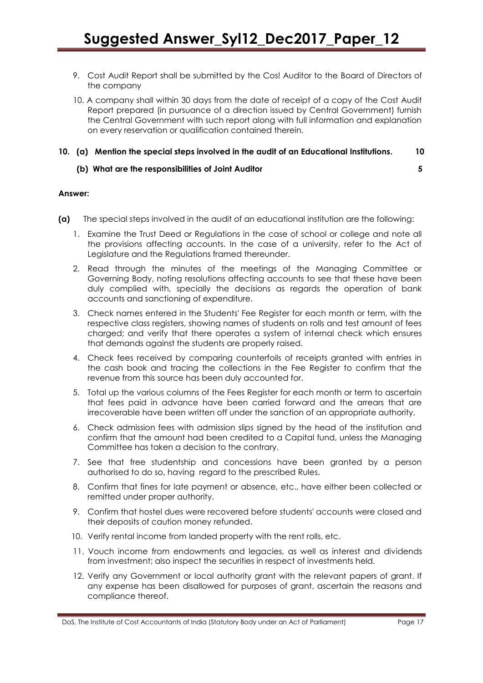- 9. Cost Audit Report shall be submitted by the Cos! Auditor to the Board of Directors of the company
- 10. A company shall within 30 days from the date of receipt of a copy of the Cost Audit Report prepared (in pursuance of a direction issued by Central Government) furnish the Central Government with such report along with full information and explanation on every reservation or qualification contained therein.

#### **10. (a) Mention the special steps involved in the audit of an Educational Institutions. 10**

#### **(b) What are the responsibilities of Joint Auditor 5**

#### **Answer:**

- **(a)** The special steps involved in the audit of an educational institution are the following:
	- 1. Examine the Trust Deed or Regulations in the case of school or college and note all the provisions affecting accounts. In the case of a university, refer to the Act of Legislature and the Regulations framed thereunder.
	- 2. Read through the minutes of the meetings of the Managing Committee or Governing Body, noting resolutions affecting accounts to see that these have been duly complied with, specially the decisions as regards the operation of bank accounts and sanctioning of expenditure.
	- 3. Check names entered in the Students' Fee Register for each month or term, with the respective class registers, showing names of students on rolls and test amount of fees charged; and verify that there operates a system of internal check which ensures that demands against the students are properly raised.
	- 4. Check fees received by comparing counterfoils of receipts granted with entries in the cash book and tracing the collections in the Fee Register to confirm that the revenue from this source has been duly accounted for.
	- 5. Total up the various columns of the Fees Register for each month or term to ascertain that fees paid in advance have been carried forward and the arrears that are irrecoverable have been written off under the sanction of an appropriate authority.
	- 6. Check admission fees with admission slips signed by the head of the institution and confirm that the amount had been credited to a Capital fund, unless the Managing Committee has taken a decision to the contrary.
	- 7. See that free studentship and concessions have been granted by a person authorised to do so, having regard to the prescribed Rules.
	- 8. Confirm that fines for late payment or absence, etc., have either been collected or remitted under proper authority.
	- 9. Confirm that hostel dues were recovered before students' accounts were closed and their deposits of caution money refunded.
	- 10. Verify rental income from landed property with the rent rolls, etc.
	- 11. Vouch income from endowments and legacies, as well as interest and dividends from investment; also inspect the securities in respect of investments held.
	- 12. Verify any Government or local authority grant with the relevant papers of grant. If any expense has been disallowed for purposes of grant, ascertain the reasons and compliance thereof.

DoS, The Institute of Cost Accountants of India (Statutory Body under an Act of Parliament) Page 17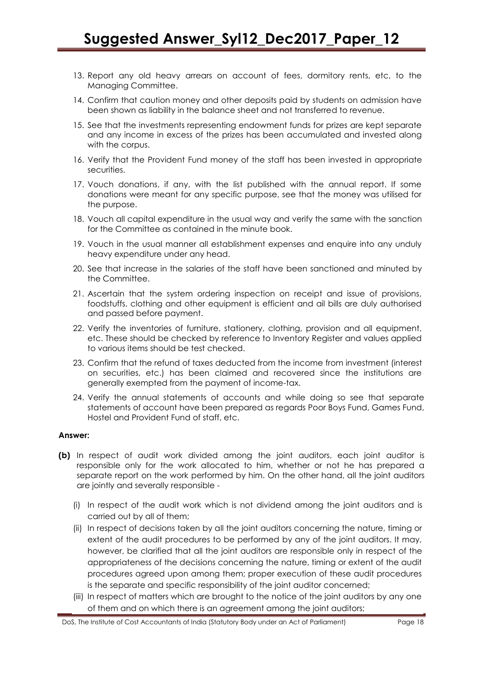- 13. Report any old heavy arrears on account of fees, dormitory rents, etc, to the Managing Committee.
- 14. Confirm that caution money and other deposits paid by students on admission have been shown as liability in the balance sheet and not transferred to revenue.
- 15. See that the investments representing endowment funds for prizes are kept separate and any income in excess of the prizes has been accumulated and invested along with the corpus.
- 16. Verify that the Provident Fund money of the staff has been invested in appropriate securities.
- 17. Vouch donations, if any, with the list published with the annual report. If some donations were meant for any specific purpose, see that the money was utilised for the purpose.
- 18. Vouch all capital expenditure in the usual way and verify the same with the sanction for the Committee as contained in the minute book.
- 19. Vouch in the usual manner all establishment expenses and enquire into any unduly heavy expenditure under any head.
- 20. See that increase in the salaries of the staff have been sanctioned and minuted by the Committee.
- 21. Ascertain that the system ordering inspection on receipt and issue of provisions, foodstuffs, clothing and other equipment is efficient and ail bills are duly authorised and passed before payment.
- 22. Verify the inventories of furniture, stationery, clothing, provision and all equipment, etc. These should be checked by reference to Inventory Register and values applied to various items should be test checked.
- 23. Confirm that the refund of taxes deducted from the income from investment (interest on securities, etc.) has been claimed and recovered since the institutions are generally exempted from the payment of income-tax.
- 24. Verify the annual statements of accounts and while doing so see that separate statements of account have been prepared as regards Poor Boys Fund, Games Fund, Hostel and Provident Fund of staff, etc.

#### **Answer:**

- **(b)** In respect of audit work divided among the joint auditors, each joint auditor is responsible only for the work allocated to him, whether or not he has prepared a separate report on the work performed by him. On the other hand, all the joint auditors are jointly and severally responsible -
	- (i) In respect of the audit work which is not dividend among the joint auditors and is carried out by all of them;
	- (ii) In respect of decisions taken by all the joint auditors concerning the nature, timing or extent of the audit procedures to be performed by any of the joint auditors. It may, however, be clarified that all the joint auditors are responsible only in respect of the appropriateness of the decisions concerning the nature, timing or extent of the audit procedures agreed upon among them; proper execution of these audit procedures is the separate and specific responsibility of the joint auditor concerned;
	- (iii) In respect of matters which are brought to the notice of the joint auditors by any one of them and on which there is an agreement among the joint auditors;